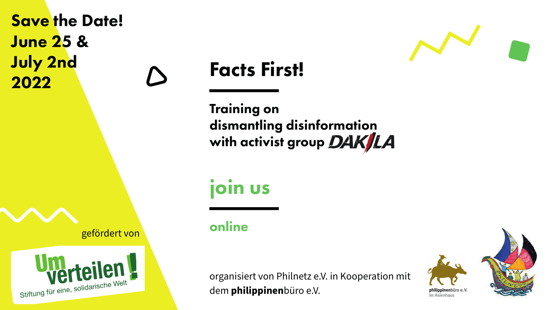## Facts First!

## dismantling disinformation with activist group DAK/LA





Training on

join us

organisiert von Philnetz e.V. in Kooperation mit dem **philippinen**büro e.V.

gefördert von





## Save the Date! June 25 & July 2nd 2022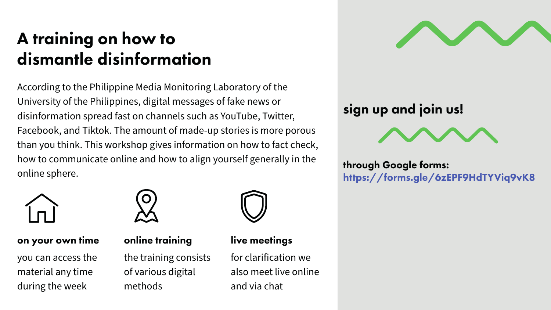## A training on how to dismantle disinformation

According to the Philippine Media Monitoring Laboratory of the University of the Philippines, digital messages of fake news or disinformation spread fast on channels such as YouTube, Twitter, Facebook, and Tiktok. The amount of made-up stories is more porous than you think. This workshop gives information on how to fact check, how to communicate online and how to align yourself generally in the online sphere.



#### through Google forms: https://forms.gle/6zEPF9HdTYViq9vK8



#### online training

the training consists of various digital methods





- 
- 
- 
- 
- 
- 

#### on your own time

you can access the material any time during the week



#### live meetings

for clarification we also meet live online and via chat

## sign up and join us!

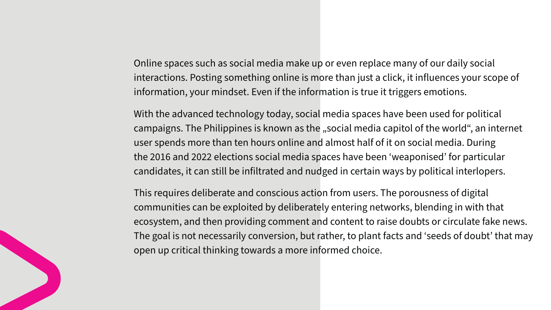Online spaces such as social media make up or even replace many of our daily social interactions. Posting something online is more than just a click, it influences your scope of information, your mindset. Even if the information is true it triggers emotions.

With the advanced technology today, social media spaces have been used for political campaigns. The Philippines is known as the "social media capitol of the world", an internet user spends more than ten hours online and almost half of it on social media. During the 2016 and 2022 elections social media spaces have been 'weaponised' for particular candidates, it can still be infiltrated and nudged in certain ways by political interlopers.

This requires deliberate and conscious action from users. The porousness of digital communities can be exploited by deliberately entering networks, blending in with that ecosystem, and then providing comment and content to raise doubts or circulate fake news. The goal is not necessarily conversion, but rather, to plant facts and 'seeds of doubt' that may open up critical thinking towards a more informed choice.

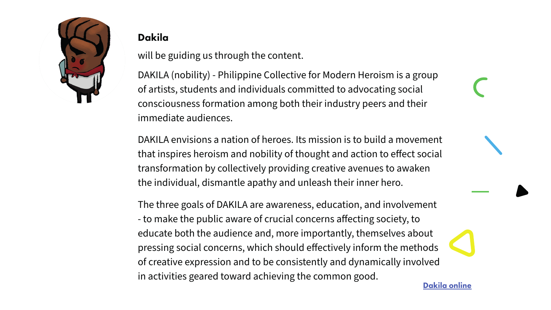DAKILA envisions a nation of heroes. Its mission is to build a movement that inspires heroism and nobility of thought and action to effect social transformation by collectively providing creative avenues to awaken the individual, dismantle apathy and unleash their inner hero.

DAKILA (nobility) - Philippine Collective for Modern Heroism is a group of artists, students and individuals committed to advocating social consciousness formation among both their industry peers and their immediate audiences. will be guiding us through the content.

The three goals of DAKILA are awareness, education, and involvement - to make the public aware of crucial concerns affecting society, to educate both the audience and, more importantly, themselves about pressing social concerns, which should effectively inform the methods of creative expression and to be consistently and dynamically involved in activities geared toward achieving the common good.



#### Dakila

Dakila online

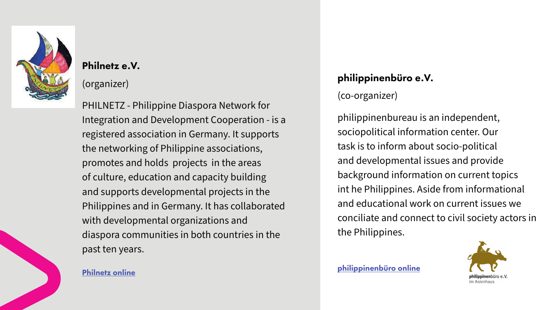### philippinenbüro e.V.

(co-organizer)

philippinenbureau is an independent, sociopolitical information center. Our task is to inform about socio-political and developmental issues and provide background information on current topics int he Philippines. Aside from informational and educational work on current issues we conciliate and connect to civil society actors in the Philippines.



#### Philnetz e.V.

(organizer)

PHILNETZ - Philippine Diaspora Network for Integration and Development Cooperation - is a registered association in Germany. It supports the networking of Philippine associations, promotes and holds projects in the areas of culture, education and capacity building and supports developmental projects in the Philippines and in Germany. It has collaborated with developmental organizations and diaspora communities in both countries in the past ten years.

#### philippinenbüro online Philnetz online



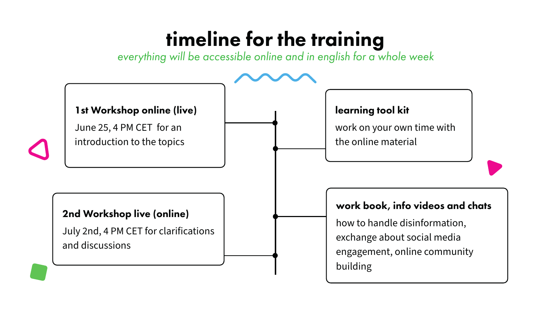# timeline for the training

*everything will be accessible online and in english for a whole week*

#### 1st Workshop online (live)

June 25, 4 PM CET for an introduction to the topics



#### learning tool kit

work on your own time with the online material

#### work book, info videos and chats

how to handle disinformation, exchange about social media engagement, online community building

#### 2nd Workshop live (online)

July 2nd, 4 PM CET for clarifications and discussions